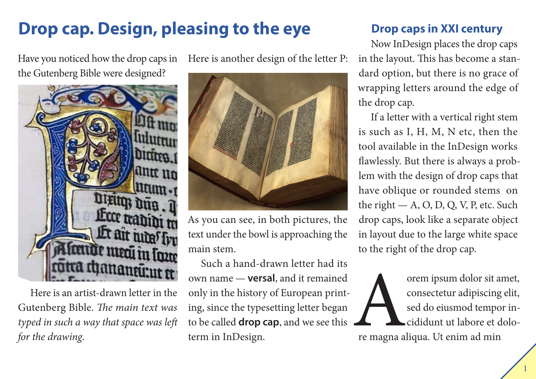# **Drop cap. Design, pleasing to the eye**

Have you noticed how the drop caps in the Gutenberg Bible were designed?



Here is an artist-drawn letter in the Gutenberg Bible. *The main text was typed in such a way that space was left for the drawing*.

Here is another design of the letter P:



As you can see, in both pictures, the text under the bowl is approaching the main stem.

Such a hand-drawn letter had its own name — **versal**, and it remained only in the history of European printing, since the typesetting letter began to be called **drop cap**, and we see this term in InDesign.

### **Drop caps in XXI century**

Now InDesign places the drop caps in the layout. This has become a standard option, but there is no grace of wrapping letters around the edge of the drop cap.

If a letter with a vertical right stem is such as I, H, M, N etc, then the tool available in the InDesign works flawlessly. But there is always a problem with the design of drop caps that have oblique or rounded stems on the right  $- A$ , O, D, Q, V, P, etc. Such drop caps, look like a separate object in layout due to the large white space to the right of the drop cap.

orem ipsum dolor sit amet,<br>
consectetur adipiscing elit,<br>
sed do eiusmod tempor in-<br>
cididunt ut labore et dolo-<br>
re magna aliqua. Ut enim ad min consectetur adipiscing elit, sed do eiusmod tempor incididunt ut labore et dolo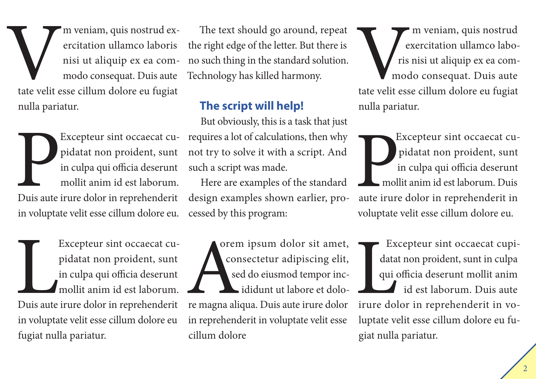Vm veniam, quis nostrud ex-<br>
ercitation ullamco laboris<br>
nisi ut aliquip ex ea com-<br>
modo consequat. Duis aute<br>
tate velit esse cillum dolore eu fugiat ercitation ullamco laboris nisi ut aliquip ex ea commodo consequat. Duis aute nulla pariatur.

Excepteur sint occaecat cu-<br>pidatat non proident, sunt<br>in culpa qui officia deserunt<br>mollit anim id est laborum.<br>Duis aute irure dolor in reprehenderit pidatat non proident, sunt in culpa qui officia deserunt mollit anim id est laborum. in voluptate velit esse cillum dolore eu.

Excepteur sint occaecat cupidatat non proident, sunt<br>in culpa qui officia deserunt<br>mollit anim id est laborum.<br>Duis aute irure dolor in reprehenderit Excepteur sint occaecat cupidatat non proident, sunt in culpa qui officia deserunt mollit anim id est laborum. in voluptate velit esse cillum dolore eu fugiat nulla pariatur.

The text should go around, repeat the right edge of the letter. But there is no such thing in the standard solution. Technology has killed harmony.

#### **The script will help!**

Excepteur sint occaecat cu- requires a lot of calculations, then why But obviously, this is a task that just not try to solve it with a script. And such a script was made.

> Here are examples of the standard design examples shown earlier, processed by this program:

> orem ipsum dolor sit amet, consectetur adipiscing elit, sed do eiusmod tempor incididunt ut labore et dolore magna aliqua. Duis aute irure dolor in reprehenderit in voluptate velit esse cillum dolore

m veniam, quis nostrud exercitation ullamco laboris nisi ut aliquip ex ea commodo consequat. Duis aute tate velit esse cillum dolore eu fugiat nulla pariatur.

Excepteur sint occaecat cupidatat non proident, sunt in culpa qui officia deserunt mollit anim id est laborum. Duis aute irure dolor in reprehenderit in voluptate velit esse cillum dolore eu.

Excepteur sint occaecat cupidatat non proident, sunt in culpa qui officia deserunt mollit anim id est laborum. Duis aute irure dolor in reprehenderit in voluptate velit esse cillum dolore eu fugiat nulla pariatur.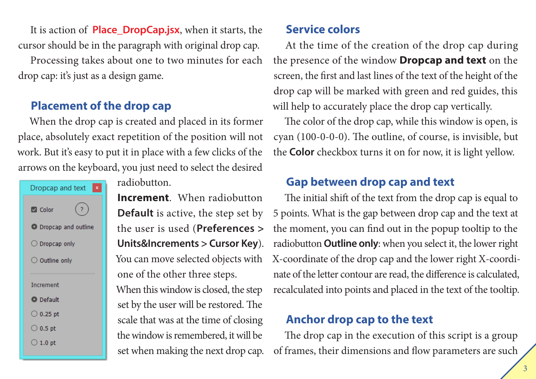It is action of **Place\_DropCap.jsx**, when it starts, the cursor should be in the paragraph with original drop cap.

Processing takes about one to two minutes for each drop cap: it's just as a design game.

### **Placement of the drop cap**

When the drop cap is created and placed in its former place, absolutely exact repetition of the position will not work. But it's easy to put it in place with a few clicks of the arrows on the keyboard, you just need to select the desired

| $\mathbf x$<br>Dropcap and text |
|---------------------------------|
| <b>O</b> Color                  |
| O Dropcap and outline           |
| $\bigcirc$ Dropcap only         |
| $\bigcirc$ Outline only         |
| <b>Increment</b>                |
| O Default                       |
| $\bigcirc$ 0.25 pt              |
| $\bigcirc$ 0.5 pt               |
| $\bigcirc$ 1.0 pt               |

radiobutton.

**Increment**. When radiobutton **Default** is active, the step set by the user is used (**Preferences > Units&Increments > Cursor Key**). You can move selected objects with one of the other three steps. When this window is closed, the step set by the user will be restored. The scale that was at the time of closing the window is remembered, it will be set when making the next drop cap.

#### **Service colors**

At the time of the creation of the drop cap during the presence of the window **Dropcap and text** on the screen, the first and last lines of the text of the height of the drop cap will be marked with green and red guides, this will help to accurately place the drop cap vertically.

The color of the drop cap, while this window is open, is cyan (100-0-0-0). The outline, of course, is invisible, but the **Color** checkbox turns it on for now, it is light yellow.

### **Gap between drop cap and text**

The initial shift of the text from the drop cap is equal to 5 points. What is the gap between drop cap and the text at the moment, you can find out in the popup tooltip to the radiobutton **Outline only**: when you select it, the lower right X-coordinate of the drop cap and the lower right X-coordinate of the letter contour are read, the difference is calculated, recalculated into points and placed in the text of the tooltip.

### **Anchor drop cap to the text**

The drop cap in the execution of this script is a group of frames, their dimensions and flow parameters are such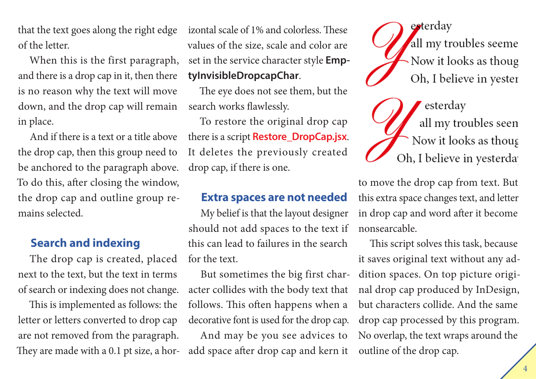that the text goes along the right edge of the letter.

When this is the first paragraph, and there is a drop cap in it, then there is no reason why the text will move down, and the drop cap will remain in place.

And if there is a text or a title above the drop cap, then this group need to be anchored to the paragraph above. To do this, after closing the window, the drop cap and outline group remains selected.

#### **Search and indexing**

The drop cap is created, placed next to the text, but the text in terms of search or indexing does not change.

This is implemented as follows: the letter or letters converted to drop cap are not removed from the paragraph. They are made with a 0.1 pt size, a horizontal scale of 1% and colorless. These values of the size, scale and color are set in the service character style **EmptyInvisibleDropcapChar**.

The eye does not see them, but the search works flawlessly.

To restore the original drop cap there is a script **Restore\_DropCap.jsx**. It deletes the previously created drop cap, if there is one.

#### **Extra spaces are not needed**

My belief is that the layout designer should not add spaces to the text if this can lead to failures in the search for the text.

But sometimes the big first character collides with the body text that follows. This often happens when a decorative font is used for the drop cap.

And may be you see advices to add space after drop cap and kern it

esterday all my troubles seeme Now it looks as though Oh, I believe in yester

esterday all my troubles seen Now it looks as thoug Oh, I believe in yesterda

to move the drop cap from text. But this extra space changes text, and letter in drop cap and word after it become nonsearcable.

This script solves this task, because it saves original text without any addition spaces. On top picture original drop cap produced by InDesign, but characters collide. And the same drop cap processed by this program. No overlap, the text wraps around the outline of the drop cap.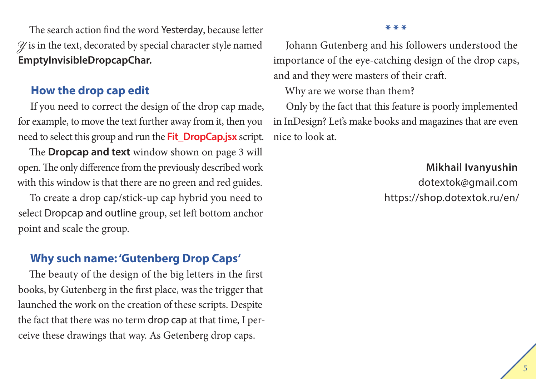The search action find the word Yesterday, because letter  $\mathscr Y$  is in the text, decorated by special character style named **EmptyInvisibleDropcapChar.**

#### **How the drop cap edit**

If you need to correct the design of the drop cap made, for example, to move the text further away from it, then you need to select this group and run the **Fit\_DropCap.jsx** script.

The **Dropcap and text** window shown on page 3 will open. The only difference from the previously described work with this window is that there are no green and red guides.

To create a drop cap/stick-up cap hybrid you need to select Dropcap and outline group, set left bottom anchor point and scale the group.

#### **Why such name: 'Gutenberg Drop Caps'**

The beauty of the design of the big letters in the first books, by Gutenberg in the first place, was the trigger that launched the work on the creation of these scripts. Despite the fact that there was no term drop cap at that time, I perceive these drawings that way. As Getenberg drop caps.

#### **\* \* \***

Johann Gutenberg and his followers understood the importance of the eye-catching design of the drop caps, and and they were masters of their craft.

Why are we worse than them?

Only by the fact that this feature is poorly implemented in InDesign? Let's make books and magazines that are even nice to look at.

> **Mikhail Ivanyushin** dotextok@gmail.com https://shop.dotextok.ru/en/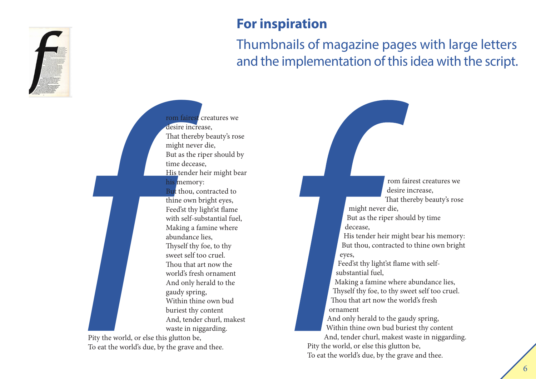

## **For inspiration**

## Thumbnails of magazine pages with large letters and the implementation of this idea with the script.

*f f*<br>*f f*<br>*f f f f f f f f f f f f f f f f f f f f f f f f <i>f f f f f <i>f f f <i>f* rom fairest creatures we desire increase, That thereby beauty's rose might never die, But as the riper should by time decease, His tender heir might bear his memory: But thou, contracted to thine own bright eyes, Feed'st thy light'st flame with self-substantial fuel, Making a famine where abundance lies, Thyself thy foe, to thy sweet self too cruel. Thou that art now the world's fresh ornament And only herald to the gaudy spring, Within thine own bud buriest thy content And, tender churl, makest waste in niggarding.

Pity the world, or else this glutton be, To eat the world's due, by the grave and thee.

rom fairest creatures we desire increase, That thereby beauty's rose

might never die, But as the riper should by time decease,

His tender heir might bear his memory: But thou, contracted to thine own bright eyes,

Feed'st thy light'st flame with selfsubstantial fuel,

Making a famine where abundance lies, Thyself thy foe, to thy sweet self too cruel. Thou that art now the world's fresh ornament

And only herald to the gaudy spring, Within thine own bud buriest thy content

And, tender churl, makest waste in niggarding. Pity the world, or else this glutton be, To eat the world's due, by the grave and thee.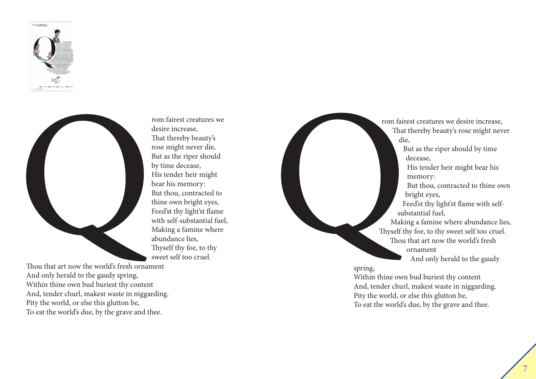



desire increase, That thereby beauty's rose might never die, But as the riper should by time decease, His tender heir might bear his memory: But thou, contracted to thine own bright eyes, Feed'st thy light'st flame with self-substantial fuel, Making a famine where abundance lies, Thyself thy foe, to thy sweet self too cruel.

Thou that art now the world's fresh ornament And only herald to the gaudy spring, Within thine own bud buriest thy content And, tender churl, makest waste in niggarding. Pity the world, or else this glutton be, To eat the world's due, by the grave and thee.

rom fairest creatures we desire increase, That thereby beauty's rose might never die, But as the riper should by time decease, His tender heir might bear his memory: But thou, contracted to thine own bright eyes, Feed'st thy light'st flame with selfsubstantial fuel, Making a famine where abundance lies, Thyself thy foe, to thy sweet self too cruel. Thou that art now the world's fresh ornament And only herald to the gaudy

spring,

Within thine own bud buriest thy content And, tender churl, makest waste in niggarding. Pity the world, or else this glutton be, To eat the world's due, by the grave and thee.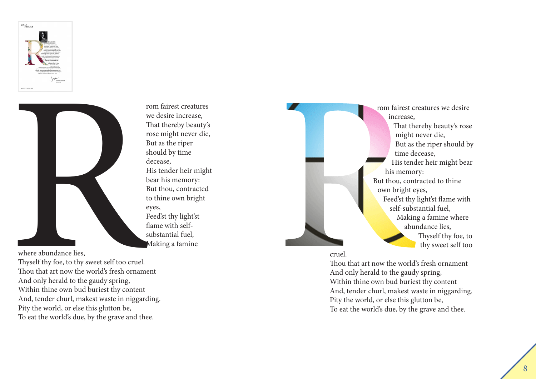



rom fairest creatures we desire increase, That thereby beauty's rose might never die, But as the riper should by time decease, His tender heir might bear his memory: But thou, contracted to thine own bright eyes, Feed'st thy light'st flame with selfsubstantial fuel, Making a famine

where abundance lies,

Thyself thy foe, to thy sweet self too cruel. Thou that art now the world's fresh ornament And only herald to the gaudy spring, Within thine own bud buriest thy content And, tender churl, makest waste in niggarding. Pity the world, or else this glutton be, To eat the world's due, by the grave and thee.

rom fairest creatures we desire increase, That thereby beauty's rose might never die, But as the riper should by time decease, His tender heir might bear his memory: But thou, contracted to thine own bright eyes, Feed'st thy light'st flame with self-substantial fuel, Making a famine where abundance lies, Thyself thy foe, to thy sweet self too

#### cruel.

Thou that art now the world's fresh ornament And only herald to the gaudy spring, Within thine own bud buriest thy content And, tender churl, makest waste in niggarding. Pity the world, or else this glutton be, To eat the world's due, by the grave and thee.